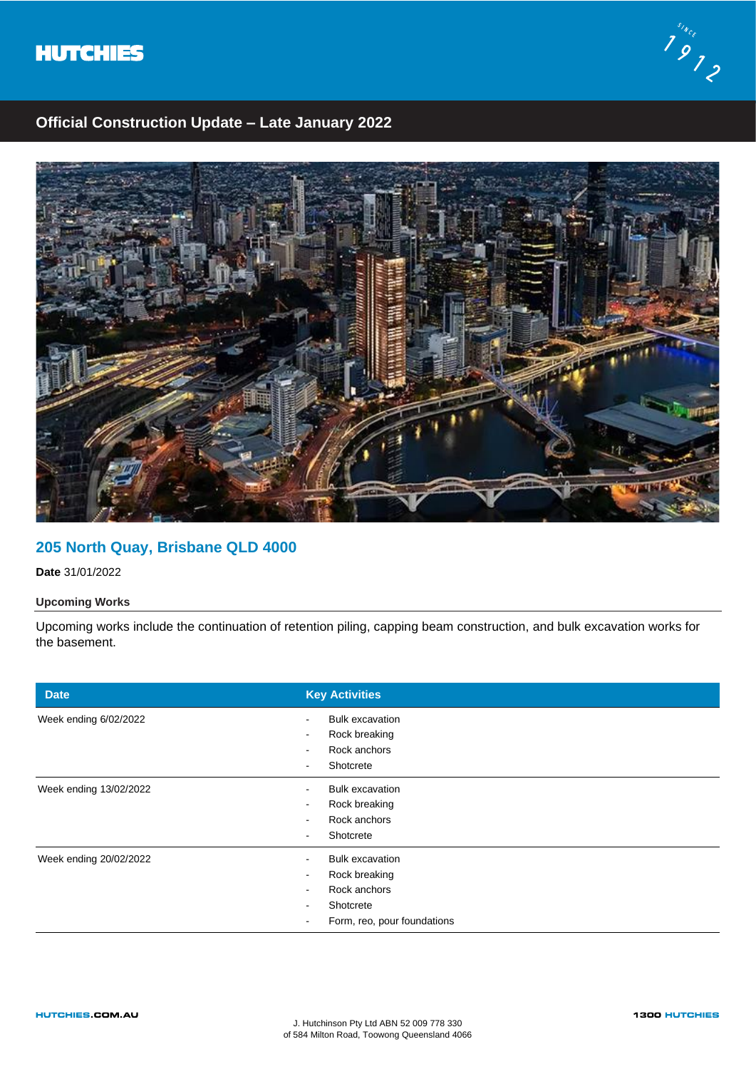



# **Official Construction Update – Late January 2022**



### **205 North Quay, Brisbane QLD 4000**

**Date** 31/01/2022

### **Upcoming Works**

Upcoming works include the continuation of retention piling, capping beam construction, and bulk excavation works for the basement.

| <b>Date</b>            | <b>Key Activities</b>                                                                                                 |
|------------------------|-----------------------------------------------------------------------------------------------------------------------|
| Week ending 6/02/2022  | <b>Bulk excavation</b><br>Rock breaking<br>Rock anchors<br>$\,$<br>Shotcrete<br>$\blacksquare$                        |
| Week ending 13/02/2022 | <b>Bulk excavation</b><br>$\sim$<br>Rock breaking<br>$\overline{\phantom{a}}$<br>Rock anchors<br>Shotcrete<br>$\,$    |
| Week ending 20/02/2022 | <b>Bulk excavation</b><br>$\blacksquare$<br>Rock breaking<br>Rock anchors<br>Shotcrete<br>Form, reo, pour foundations |